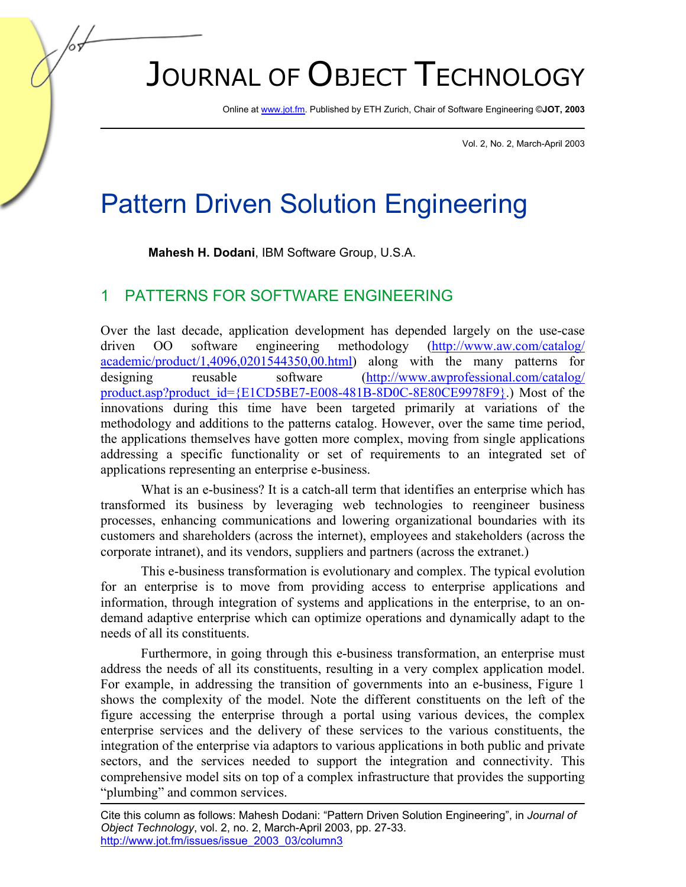# JOURNAL OF OBJECT TECHNOLOGY

Online a[t www.jot.fm.](http://www.jot.fm) Published by ETH Zurich, Chair of Software Engineering ©**JOT, 2003** 

Vol. 2, No. 2, March-April 2003

## Pattern Driven Solution Engineering

**Mahesh H. Dodani**, IBM Software Group, U.S.A.

#### 1 PATTERNS FOR SOFTWARE ENGINEERING

Over the last decade, application development has depended largely on the use-case driven OO software engineering methodology ([http://www.aw.com/catalog/](http://www.aw.com/catalog/academic/product/1,4096,0201544350,00.html) [academic/product/1,4096,0201544350,00.html\)](http://www.aw.com/catalog/academic/product/1,4096,0201544350,00.html) along with the many patterns for designing reusable software [\(http://www.awprofessional.com/catalog/](http://www.awprofessional.com/catalog/product.asp?product_id={E1CD5BE7-E008-481B-8D0C-8E80CE9978F9}) [product.asp?product\\_id={E1CD5BE7-E008-481B-8D0C-8E80CE9978F9}.](http://www.awprofessional.com/catalog/product.asp?product_id={E1CD5BE7-E008-481B-8D0C-8E80CE9978F9})) Most of the innovations during this time have been targeted primarily at variations of the methodology and additions to the patterns catalog. However, over the same time period, the applications themselves have gotten more complex, moving from single applications addressing a specific functionality or set of requirements to an integrated set of applications representing an enterprise e-business.

What is an e-business? It is a catch-all term that identifies an enterprise which has transformed its business by leveraging web technologies to reengineer business processes, enhancing communications and lowering organizational boundaries with its customers and shareholders (across the internet), employees and stakeholders (across the corporate intranet), and its vendors, suppliers and partners (across the extranet.)

This e-business transformation is evolutionary and complex. The typical evolution for an enterprise is to move from providing access to enterprise applications and information, through integration of systems and applications in the enterprise, to an ondemand adaptive enterprise which can optimize operations and dynamically adapt to the needs of all its constituents.

Furthermore, in going through this e-business transformation, an enterprise must address the needs of all its constituents, resulting in a very complex application model. For example, in addressing the transition of governments into an e-business, Figure 1 shows the complexity of the model. Note the different constituents on the left of the figure accessing the enterprise through a portal using various devices, the complex enterprise services and the delivery of these services to the various constituents, the integration of the enterprise via adaptors to various applications in both public and private sectors, and the services needed to support the integration and connectivity. This comprehensive model sits on top of a complex infrastructure that provides the supporting "plumbing" and common services.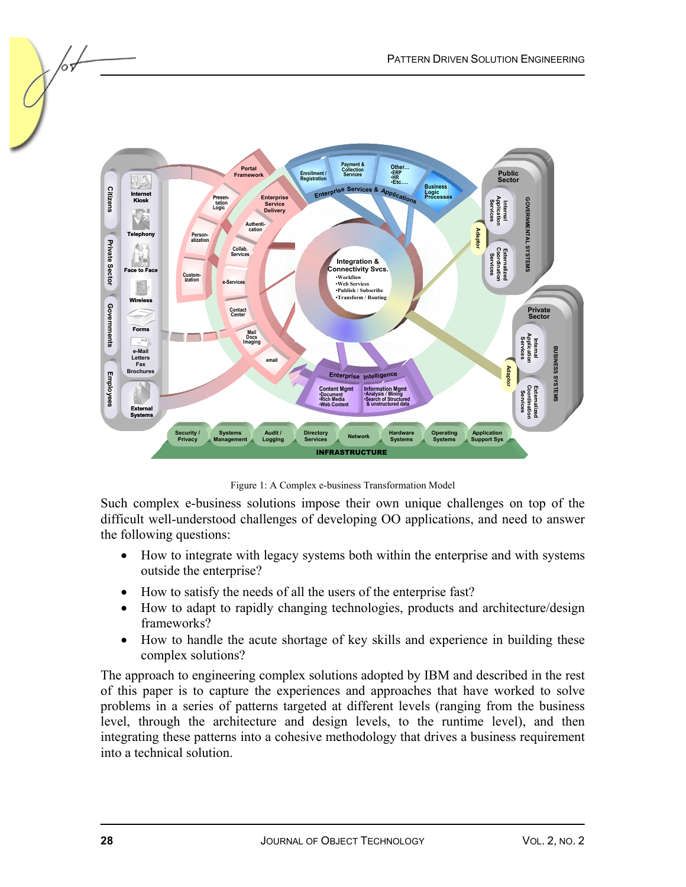

Figure 1: A Complex e-business Transformation Model

Such complex e-business solutions impose their own unique challenges on top of the difficult well-understood challenges of developing OO applications, and need to answer the following questions:

- How to integrate with legacy systems both within the enterprise and with systems outside the enterprise?
- How to satisfy the needs of all the users of the enterprise fast?
- How to adapt to rapidly changing technologies, products and architecture/design frameworks?
- How to handle the acute shortage of key skills and experience in building these complex solutions?

The approach to engineering complex solutions adopted by IBM and described in the rest of this paper is to capture the experiences and approaches that have worked to solve problems in a series of patterns targeted at different levels (ranging from the business level, through the architecture and design levels, to the runtime level), and then integrating these patterns into a cohesive methodology that drives a business requirement into a technical solution.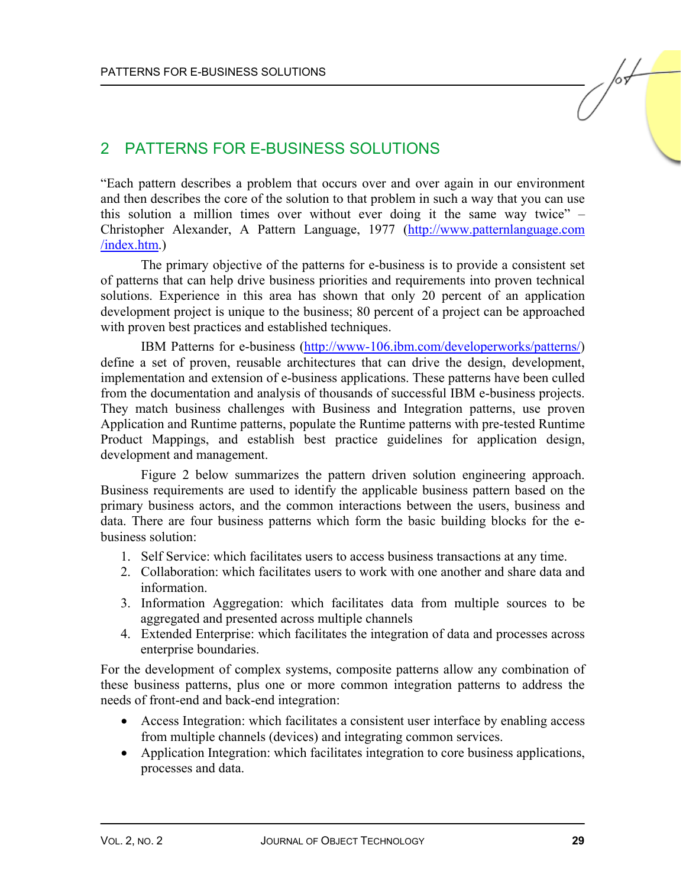#### 2 PATTERNS FOR E-BUSINESS SOLUTIONS

"Each pattern describes a problem that occurs over and over again in our environment and then describes the core of the solution to that problem in such a way that you can use this solution a million times over without ever doing it the same way twice" – Christopher Alexander, A Pattern Language, 1977 [\(http://www.patternlanguage.com](http://www.patternlanguage.com/index.htm) [/index.htm.\)](http://www.patternlanguage.com/index.htm)

The primary objective of the patterns for e-business is to provide a consistent set of patterns that can help drive business priorities and requirements into proven technical solutions. Experience in this area has shown that only 20 percent of an application development project is unique to the business; 80 percent of a project can be approached with proven best practices and established techniques.

IBM Patterns for e-business [\(http://www-106.ibm.com/developerworks/patterns/\)](http://www-106.ibm.com/developerworks/patterns/) define a set of proven, reusable architectures that can drive the design, development, implementation and extension of e-business applications. These patterns have been culled from the documentation and analysis of thousands of successful IBM e-business projects. They match business challenges with Business and Integration patterns, use proven Application and Runtime patterns, populate the Runtime patterns with pre-tested Runtime Product Mappings, and establish best practice guidelines for application design, development and management.

Figure 2 below summarizes the pattern driven solution engineering approach. Business requirements are used to identify the applicable business pattern based on the primary business actors, and the common interactions between the users, business and data. There are four business patterns which form the basic building blocks for the ebusiness solution:

- 1. Self Service: which facilitates users to access business transactions at any time.
- 2. Collaboration: which facilitates users to work with one another and share data and information.
- 3. Information Aggregation: which facilitates data from multiple sources to be aggregated and presented across multiple channels
- 4. Extended Enterprise: which facilitates the integration of data and processes across enterprise boundaries.

For the development of complex systems, composite patterns allow any combination of these business patterns, plus one or more common integration patterns to address the needs of front-end and back-end integration:

- Access Integration: which facilitates a consistent user interface by enabling access from multiple channels (devices) and integrating common services.
- Application Integration: which facilitates integration to core business applications, processes and data.

 $\sqrt{2}$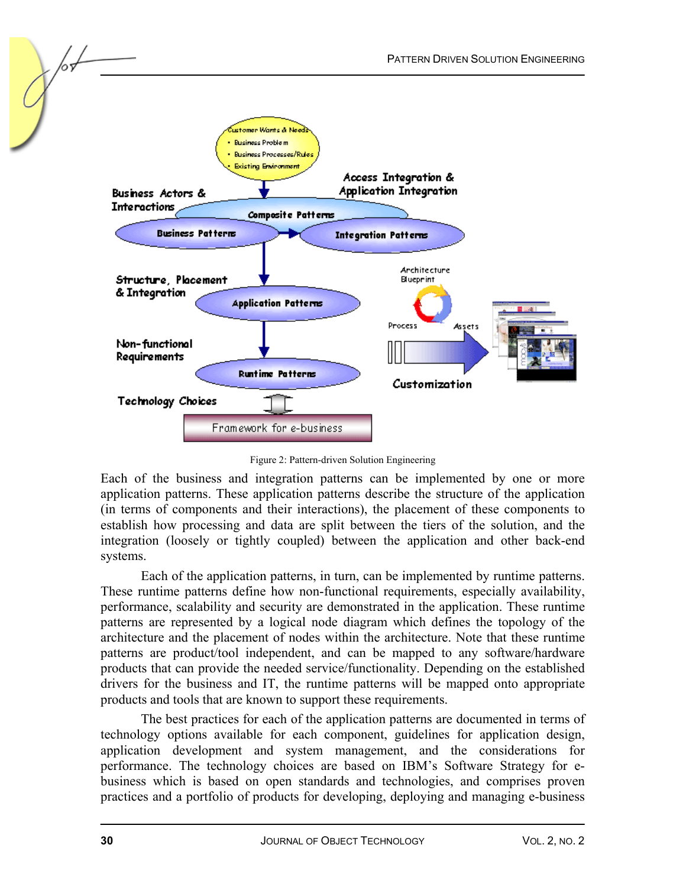

Figure 2: Pattern-driven Solution Engineering

Each of the business and integration patterns can be implemented by one or more application patterns. These application patterns describe the structure of the application (in terms of components and their interactions), the placement of these components to establish how processing and data are split between the tiers of the solution, and the integration (loosely or tightly coupled) between the application and other back-end systems.

Each of the application patterns, in turn, can be implemented by runtime patterns. These runtime patterns define how non-functional requirements, especially availability, performance, scalability and security are demonstrated in the application. These runtime patterns are represented by a logical node diagram which defines the topology of the architecture and the placement of nodes within the architecture. Note that these runtime patterns are product/tool independent, and can be mapped to any software/hardware products that can provide the needed service/functionality. Depending on the established drivers for the business and IT, the runtime patterns will be mapped onto appropriate products and tools that are known to support these requirements.

The best practices for each of the application patterns are documented in terms of technology options available for each component, guidelines for application design, application development and system management, and the considerations for performance. The technology choices are based on IBM's Software Strategy for ebusiness which is based on open standards and technologies, and comprises proven practices and a portfolio of products for developing, deploying and managing e-business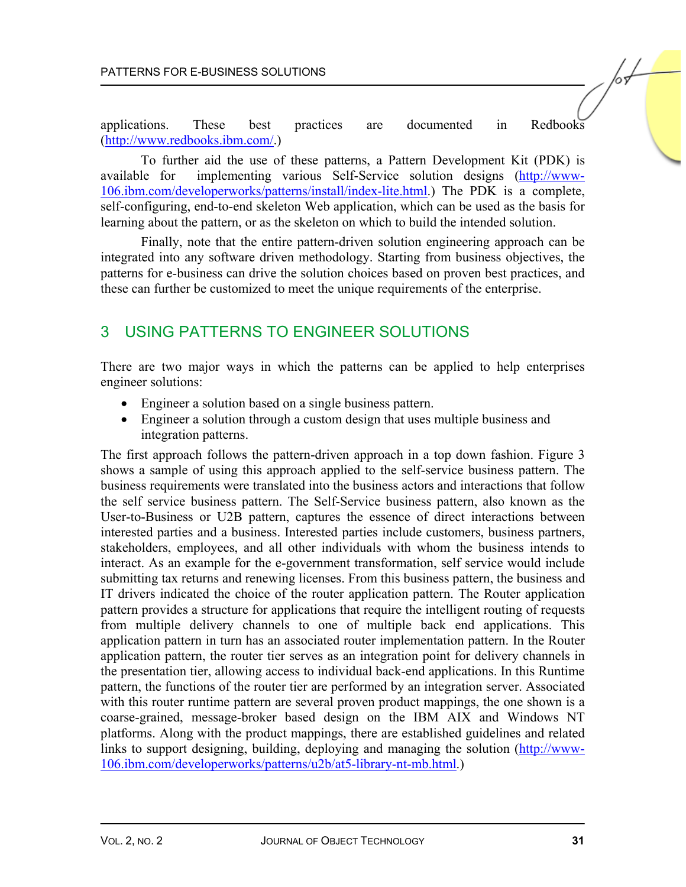applications. These best practices are documented in Redbooks [\(http://www.redbooks.ibm.com/.\)](http://www.redbooks.ibm.com/)

To further aid the use of these patterns, a Pattern Development Kit (PDK) is available for implementing various Self-Service solution designs [\(http://www-](http://www-106.ibm.com/developerworks/patterns/install/index-lite.html)[106.ibm.com/developerworks/patterns/install/index-lite.html.\)](http://www-106.ibm.com/developerworks/patterns/install/index-lite.html) The PDK is a complete, self-configuring, end-to-end skeleton Web application, which can be used as the basis for learning about the pattern, or as the skeleton on which to build the intended solution.

Finally, note that the entire pattern-driven solution engineering approach can be integrated into any software driven methodology. Starting from business objectives, the patterns for e-business can drive the solution choices based on proven best practices, and these can further be customized to meet the unique requirements of the enterprise.

### 3 USING PATTERNS TO ENGINEER SOLUTIONS

There are two major ways in which the patterns can be applied to help enterprises engineer solutions:

- Engineer a solution based on a single business pattern.
- Engineer a solution through a custom design that uses multiple business and integration patterns.

The first approach follows the pattern-driven approach in a top down fashion. Figure 3 shows a sample of using this approach applied to the self-service business pattern. The business requirements were translated into the business actors and interactions that follow the self service business pattern. The Self-Service business pattern, also known as the User-to-Business or U2B pattern, captures the essence of direct interactions between interested parties and a business. Interested parties include customers, business partners, stakeholders, employees, and all other individuals with whom the business intends to interact. As an example for the e-government transformation, self service would include submitting tax returns and renewing licenses. From this business pattern, the business and IT drivers indicated the choice of the router application pattern. The Router application pattern provides a structure for applications that require the intelligent routing of requests from multiple delivery channels to one of multiple back end applications. This application pattern in turn has an associated router implementation pattern. In the Router application pattern, the router tier serves as an integration point for delivery channels in the presentation tier, allowing access to individual back-end applications. In this Runtime pattern, the functions of the router tier are performed by an integration server. Associated with this router runtime pattern are several proven product mappings, the one shown is a coarse-grained, message-broker based design on the IBM AIX and Windows NT platforms. Along with the product mappings, there are established guidelines and related links to support designing, building, deploying and managing the solution [\(http://www-](http://www-106.ibm.com/developerworks/patterns/u2b/at5-library-nt-mb.html)[106.ibm.com/developerworks/patterns/u2b/at5-library-nt-mb.html.\)](http://www-106.ibm.com/developerworks/patterns/u2b/at5-library-nt-mb.html)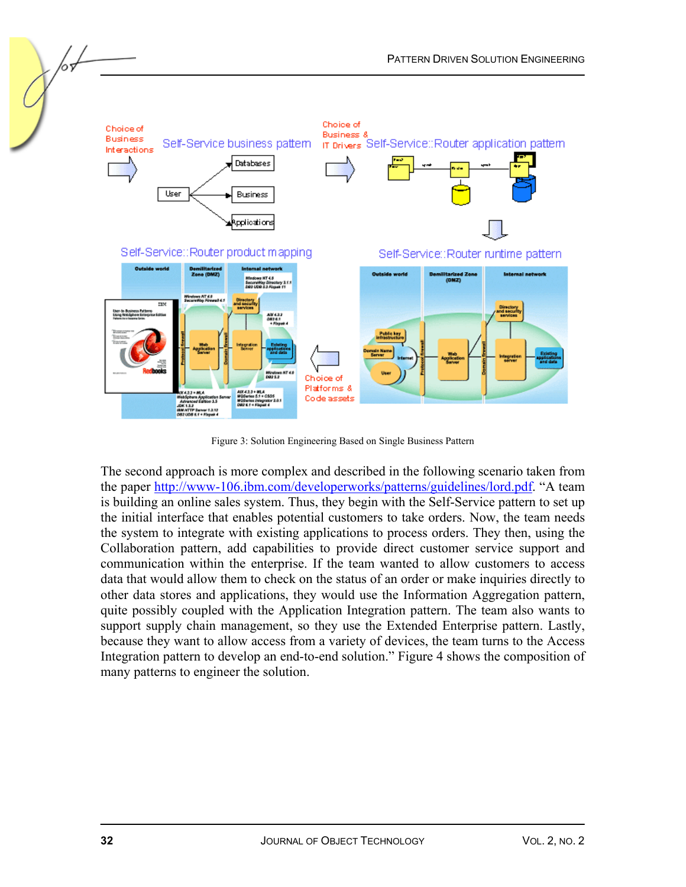

Figure 3: Solution Engineering Based on Single Business Pattern

The second approach is more complex and described in the following scenario taken from the pape[r http://www-106.ibm.com/developerworks/patterns/guidelines/lord.pdf.](http://www-106.ibm.com/developerworks/patterns/guidelines/lord.pdf) "A team is building an online sales system. Thus, they begin with the Self-Service pattern to set up the initial interface that enables potential customers to take orders. Now, the team needs the system to integrate with existing applications to process orders. They then, using the Collaboration pattern, add capabilities to provide direct customer service support and communication within the enterprise. If the team wanted to allow customers to access data that would allow them to check on the status of an order or make inquiries directly to other data stores and applications, they would use the Information Aggregation pattern, quite possibly coupled with the Application Integration pattern. The team also wants to support supply chain management, so they use the Extended Enterprise pattern. Lastly, because they want to allow access from a variety of devices, the team turns to the Access Integration pattern to develop an end-to-end solution." Figure 4 shows the composition of many patterns to engineer the solution.